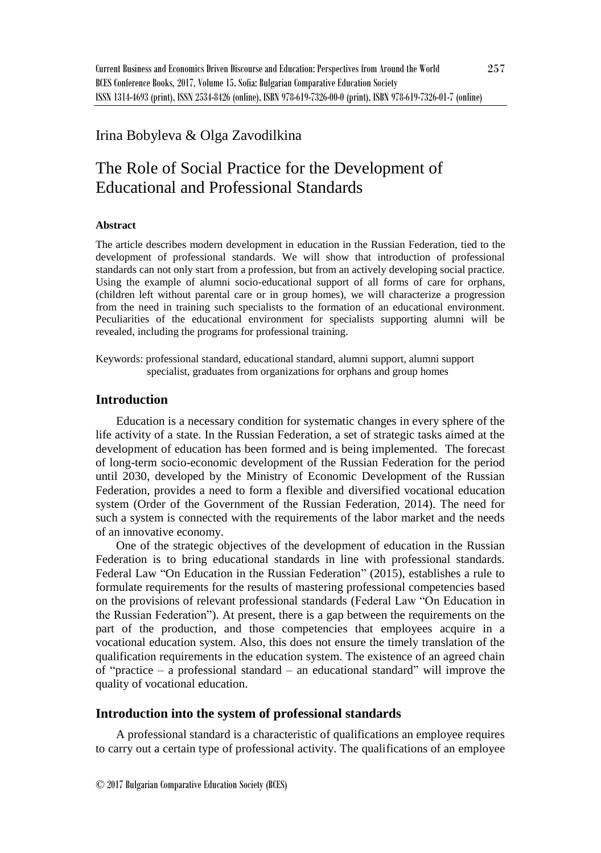## Irina Bobyleva & Olga Zavodilkina

# The Role of Social Practice for the Development of Educational and Professional Standards

#### **Abstract**

The article describes modern development in education in the Russian Federation, tied to the development of professional standards. We will show that introduction of professional standards can not only start from a profession, but from an actively developing social practice. Using the example of alumni socio-educational support of all forms of care for orphans, (children left without parental care or in group homes), we will characterize a progression from the need in training such specialists to the formation of an educational environment. Peculiarities of the educational environment for specialists supporting alumni will be revealed, including the programs for professional training.

Keywords: professional standard, educational standard, alumni support, alumni support specialist, graduates from organizations for orphans and group homes

### **Introduction**

Education is a necessary condition for systematic changes in every sphere of the life activity of a state. In the Russian Federation, a set of strategic tasks aimed at the development of education has been formed and is being implemented. The forecast of long-term socio-economic development of the Russian Federation for the period until 2030, developed by the Ministry of Economic Development of the Russian Federation, provides a need to form a flexible and diversified vocational education system (Order of the Government of the Russian Federation, 2014). The need for such a system is connected with the requirements of the labor market and the needs of an innovative economy.

One of the strategic objectives of the development of education in the Russian Federation is to bring educational standards in line with professional standards. Federal Law "On Education in the Russian Federation" (2015), establishes a rule to formulate requirements for the results of mastering professional competencies based on the provisions of relevant professional standards (Federal Law "On Education in the Russian Federation"). At present, there is a gap between the requirements on the part of the production, and those competencies that employees acquire in a vocational education system. Also, this does not ensure the timely translation of the qualification requirements in the education system. The existence of an agreed chain of "practice – a professional standard – an educational standard" will improve the quality of vocational education.

#### **Introduction into the system of professional standards**

A professional standard is a characteristic of qualifications an employee requires to carry out a certain type of professional activity. The qualifications of an employee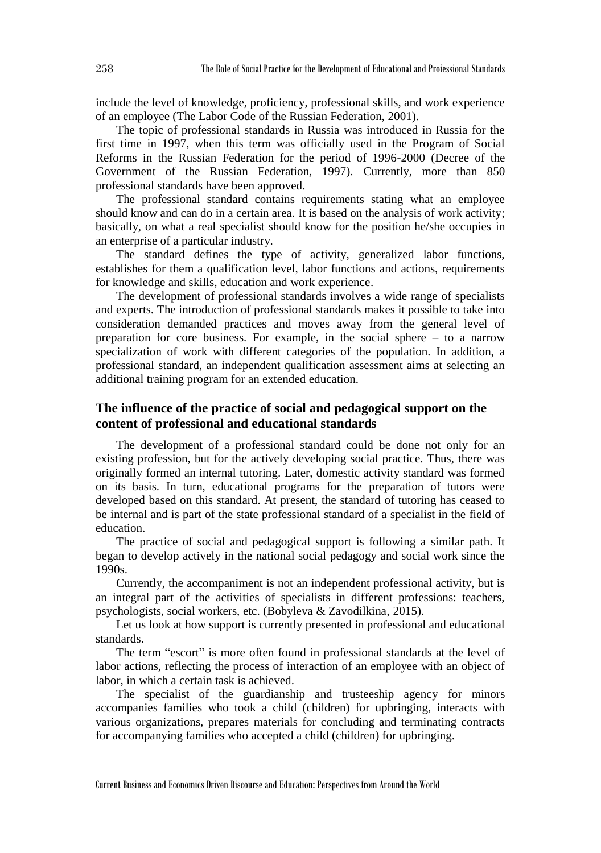include the level of knowledge, proficiency, professional skills, and work experience of an employee (The Labor Code of the Russian Federation, 2001).

The topic of professional standards in Russia was introduced in Russia for the first time in 1997, when this term was officially used in the Program of Social Reforms in the Russian Federation for the period of 1996-2000 (Decree of the Government of the Russian Federation, 1997). Currently, more than 850 professional standards have been approved.

The professional standard contains requirements stating what an employee should know and can do in a certain area. It is based on the analysis of work activity; basically, on what a real specialist should know for the position he/she occupies in an enterprise of a particular industry.

The standard defines the type of activity, generalized labor functions, establishes for them a qualification level, labor functions and actions, requirements for knowledge and skills, education and work experience.

The development of professional standards involves a wide range of specialists and experts. The introduction of professional standards makes it possible to take into consideration demanded practices and moves away from the general level of preparation for core business. For example, in the social sphere – to a narrow specialization of work with different categories of the population. In addition, a professional standard, an independent qualification assessment aims at selecting an additional training program for an extended education.

## **The influence of the practice of social and pedagogical support on the content of professional and educational standards**

The development of a professional standard could be done not only for an existing profession, but for the actively developing social practice. Thus, there was originally formed an internal tutoring. Later, domestic activity standard was formed on its basis. In turn, educational programs for the preparation of tutors were developed based on this standard. At present, the standard of tutoring has ceased to be internal and is part of the state professional standard of a specialist in the field of education.

The practice of social and pedagogical support is following a similar path. It began to develop actively in the national social pedagogy and social work since the 1990s.

Currently, the accompaniment is not an independent professional activity, but is an integral part of the activities of specialists in different professions: teachers, psychologists, social workers, etc. (Bobyleva & Zavodilkina, 2015).

Let us look at how support is currently presented in professional and educational standards.

The term "escort" is more often found in professional standards at the level of labor actions, reflecting the process of interaction of an employee with an object of labor, in which a certain task is achieved.

The specialist of the guardianship and trusteeship agency for minors accompanies families who took a child (children) for upbringing, interacts with various organizations, prepares materials for concluding and terminating contracts for accompanying families who accepted a child (children) for upbringing.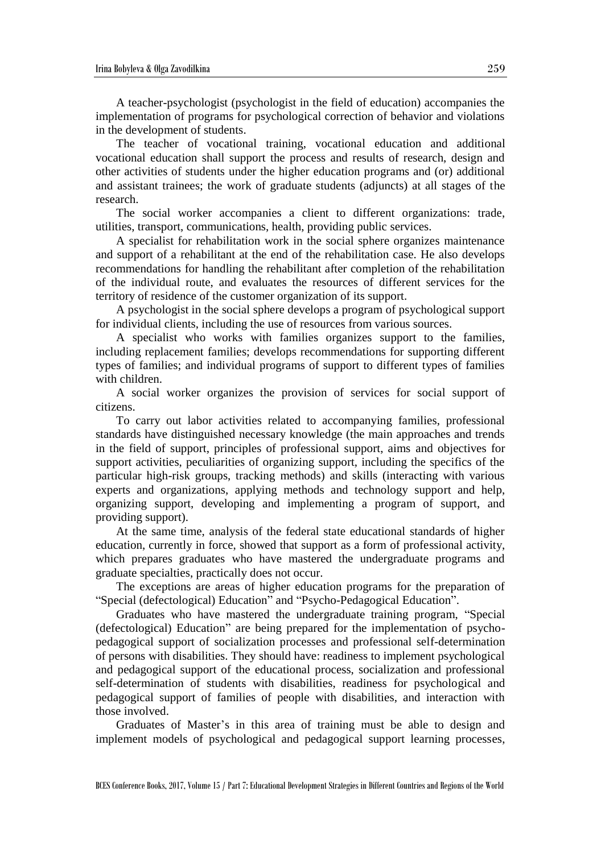A teacher-psychologist (psychologist in the field of education) accompanies the implementation of programs for psychological correction of behavior and violations in the development of students.

The teacher of vocational training, vocational education and additional vocational education shall support the process and results of research, design and other activities of students under the higher education programs and (or) additional and assistant trainees; the work of graduate students (adjuncts) at all stages of the research.

The social worker accompanies a client to different organizations: trade, utilities, transport, communications, health, providing public services.

A specialist for rehabilitation work in the social sphere organizes maintenance and support of a rehabilitant at the end of the rehabilitation case. He also develops recommendations for handling the rehabilitant after completion of the rehabilitation of the individual route, and evaluates the resources of different services for the territory of residence of the customer organization of its support.

A psychologist in the social sphere develops a program of psychological support for individual clients, including the use of resources from various sources.

A specialist who works with families organizes support to the families, including replacement families; develops recommendations for supporting different types of families; and individual programs of support to different types of families with children.

A social worker organizes the provision of services for social support of citizens.

To carry out labor activities related to accompanying families, professional standards have distinguished necessary knowledge (the main approaches and trends in the field of support, principles of professional support, aims and objectives for support activities, peculiarities of organizing support, including the specifics of the particular high-risk groups, tracking methods) and skills (interacting with various experts and organizations, applying methods and technology support and help, organizing support, developing and implementing a program of support, and providing support).

At the same time, analysis of the federal state educational standards of higher education, currently in force, showed that support as a form of professional activity, which prepares graduates who have mastered the undergraduate programs and graduate specialties, practically does not occur.

The exceptions are areas of higher education programs for the preparation of "Special (defectological) Education" and "Psycho-Pedagogical Education".

Graduates who have mastered the undergraduate training program, "Special (defectological) Education" are being prepared for the implementation of psychopedagogical support of socialization processes and professional self-determination of persons with disabilities. They should have: readiness to implement psychological and pedagogical support of the educational process, socialization and professional self-determination of students with disabilities, readiness for psychological and pedagogical support of families of people with disabilities, and interaction with those involved.

Graduates of Master's in this area of training must be able to design and implement models of psychological and pedagogical support learning processes,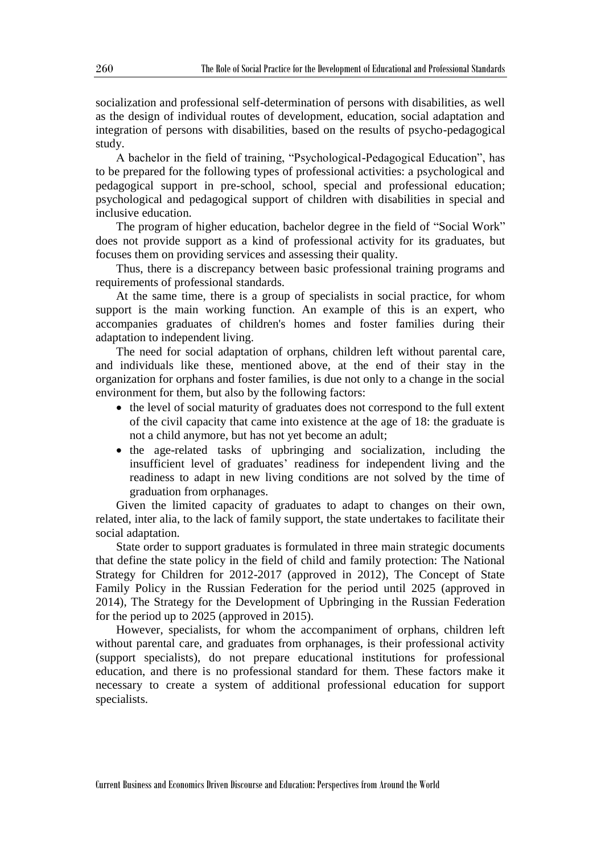socialization and professional self-determination of persons with disabilities, as well as the design of individual routes of development, education, social adaptation and integration of persons with disabilities, based on the results of psycho-pedagogical study.

A bachelor in the field of training, "Psychological-Pedagogical Education", has to be prepared for the following types of professional activities: a psychological and pedagogical support in pre-school, school, special and professional education; psychological and pedagogical support of children with disabilities in special and inclusive education.

The program of higher education, bachelor degree in the field of "Social Work" does not provide support as a kind of professional activity for its graduates, but focuses them on providing services and assessing their quality.

Thus, there is a discrepancy between basic professional training programs and requirements of professional standards.

At the same time, there is a group of specialists in social practice, for whom support is the main working function. An example of this is an expert, who accompanies graduates of children's homes and foster families during their adaptation to independent living.

The need for social adaptation of orphans, children left without parental care, and individuals like these, mentioned above, at the end of their stay in the organization for orphans and foster families, is due not only to a change in the social environment for them, but also by the following factors:

- the level of social maturity of graduates does not correspond to the full extent of the civil capacity that came into existence at the age of 18: the graduate is not a child anymore, but has not yet become an adult;
- the age-related tasks of upbringing and socialization, including the insufficient level of graduates' readiness for independent living and the readiness to adapt in new living conditions are not solved by the time of graduation from orphanages.

Given the limited capacity of graduates to adapt to changes on their own, related, inter alia, to the lack of family support, the state undertakes to facilitate their social adaptation.

State order to support graduates is formulated in three main strategic documents that define the state policy in the field of child and family protection: The National Strategy for Children for 2012-2017 (approved in 2012), The Concept of State Family Policy in the Russian Federation for the period until 2025 (approved in 2014), The Strategy for the Development of Upbringing in the Russian Federation for the period up to 2025 (approved in 2015).

However, specialists, for whom the accompaniment of orphans, children left without parental care, and graduates from orphanages, is their professional activity (support specialists), do not prepare educational institutions for professional education, and there is no professional standard for them. These factors make it necessary to create a system of additional professional education for support specialists.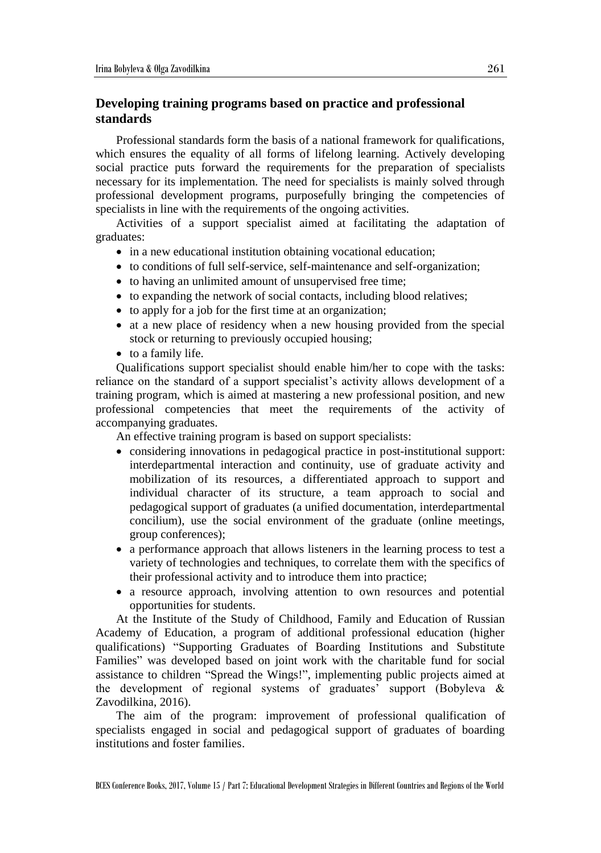## **Developing training programs based on practice and professional standards**

Professional standards form the basis of a national framework for qualifications, which ensures the equality of all forms of lifelong learning. Actively developing social practice puts forward the requirements for the preparation of specialists necessary for its implementation. The need for specialists is mainly solved through professional development programs, purposefully bringing the competencies of specialists in line with the requirements of the ongoing activities.

Activities of a support specialist aimed at facilitating the adaptation of graduates:

- in a new educational institution obtaining vocational education;
- to conditions of full self-service, self-maintenance and self-organization;
- to having an unlimited amount of unsupervised free time;
- to expanding the network of social contacts, including blood relatives;
- to apply for a job for the first time at an organization;
- at a new place of residency when a new housing provided from the special stock or returning to previously occupied housing;
- to a family life.

Qualifications support specialist should enable him/her to cope with the tasks: reliance on the standard of a support specialist's activity allows development of a training program, which is aimed at mastering a new professional position, and new professional competencies that meet the requirements of the activity of accompanying graduates.

An effective training program is based on support specialists:

- considering innovations in pedagogical practice in post-institutional support: interdepartmental interaction and continuity, use of graduate activity and mobilization of its resources, a differentiated approach to support and individual character of its structure, a team approach to social and pedagogical support of graduates (a unified documentation, interdepartmental concilium), use the social environment of the graduate (online meetings, group conferences);
- a performance approach that allows listeners in the learning process to test a variety of technologies and techniques, to correlate them with the specifics of their professional activity and to introduce them into practice;
- a resource approach, involving attention to own resources and potential opportunities for students.

At the Institute of the Study of Childhood, Family and Education of Russian Academy of Education, a program of additional professional education (higher qualifications) "Supporting Graduates of Boarding Institutions and Substitute Families" was developed based on joint work with the charitable fund for social assistance to children "Spread the Wings!", implementing public projects aimed at the development of regional systems of graduates' support (Bobyleva & Zavodilkina, 2016).

The aim of the program: improvement of professional qualification of specialists engaged in social and pedagogical support of graduates of boarding institutions and foster families.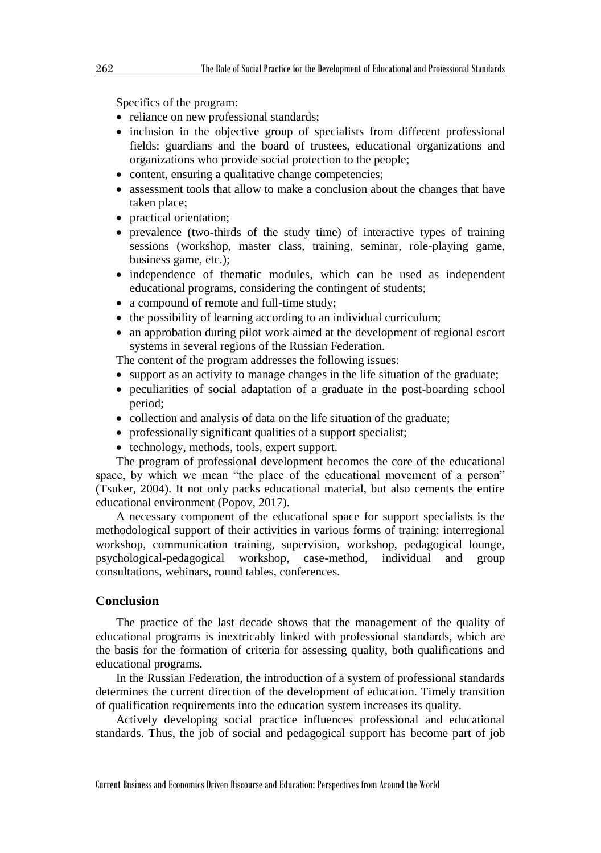Specifics of the program:

- reliance on new professional standards;
- inclusion in the objective group of specialists from different professional fields: guardians and the board of trustees, educational organizations and organizations who provide social protection to the people;
- content, ensuring a qualitative change competencies;
- assessment tools that allow to make a conclusion about the changes that have taken place;
- practical orientation:
- prevalence (two-thirds of the study time) of interactive types of training sessions (workshop, master class, training, seminar, role-playing game, business game, etc.);
- independence of thematic modules, which can be used as independent educational programs, considering the contingent of students;
- a compound of remote and full-time study;
- the possibility of learning according to an individual curriculum;
- an approbation during pilot work aimed at the development of regional escort systems in several regions of the Russian Federation.

The content of the program addresses the following issues:

- support as an activity to manage changes in the life situation of the graduate;
- peculiarities of social adaptation of a graduate in the post-boarding school period;
- collection and analysis of data on the life situation of the graduate;
- professionally significant qualities of a support specialist;
- technology, methods, tools, expert support.

The program of professional development becomes the core of the educational space, by which we mean "the place of the educational movement of a person" (Tsuker, 2004). It not only packs educational material, but also cements the entire educational environment (Popov, 2017).

A necessary component of the educational space for support specialists is the methodological support of their activities in various forms of training: interregional workshop, communication training, supervision, workshop, pedagogical lounge, psychological-pedagogical workshop, case-method, individual and group consultations, webinars, round tables, conferences.

### **Conclusion**

The practice of the last decade shows that the management of the quality of educational programs is inextricably linked with professional standards, which are the basis for the formation of criteria for assessing quality, both qualifications and educational programs.

In the Russian Federation, the introduction of a system of professional standards determines the current direction of the development of education. Timely transition of qualification requirements into the education system increases its quality.

Actively developing social practice influences professional and educational standards. Thus, the job of social and pedagogical support has become part of job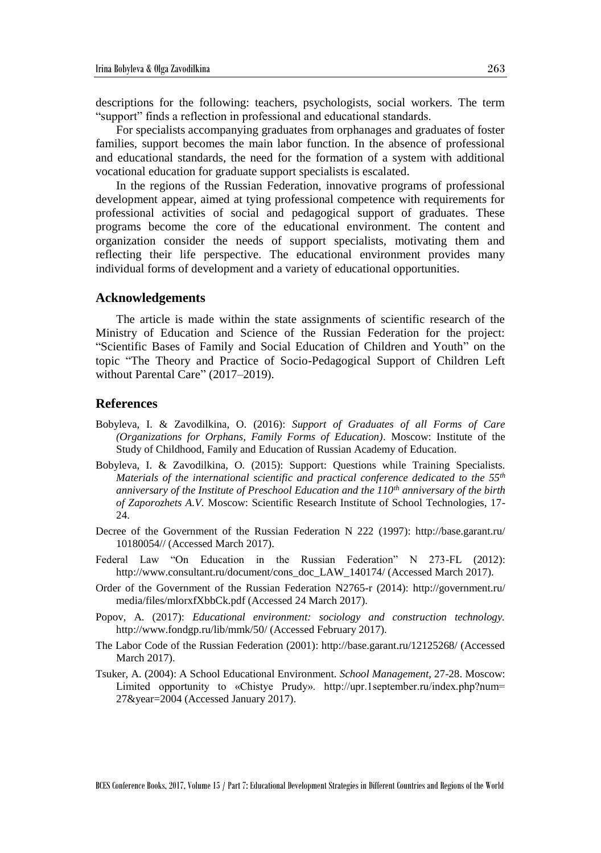descriptions for the following: teachers, psychologists, social workers. The term "support" finds a reflection in professional and educational standards.

For specialists accompanying graduates from orphanages and graduates of foster families, support becomes the main labor function. In the absence of professional and educational standards, the need for the formation of a system with additional vocational education for graduate support specialists is escalated.

In the regions of the Russian Federation, innovative programs of professional development appear, aimed at tying professional competence with requirements for professional activities of social and pedagogical support of graduates. These programs become the core of the educational environment. The content and organization consider the needs of support specialists, motivating them and reflecting their life perspective. The educational environment provides many individual forms of development and a variety of educational opportunities.

#### **Acknowledgements**

The article is made within the state assignments of scientific research of the Ministry of Education and Science of the Russian Federation for the project: "Scientific Bases of Family and Social Education of Children and Youth" on the topic "The Theory and Practice of Socio-Pedagogical Support of Children Left without Parental Care" (2017–2019).

#### **References**

- Bobyleva, I. & Zavodilkina, O. (2016): *Support of Graduates of all Forms of Care (Organizations for Orphans, Family Forms of Education)*. Moscow: Institute of the Study of Childhood, Family and Education of Russian Academy of Education.
- Bobyleva, I. & Zavodilkina, O. (2015): Support: Questions while Training Specialists. *Materials of the international scientific and practical conference dedicated to the 55th anniversary of the Institute of Preschool Education and the 110th anniversary of the birth of Zaporozhets A.V.* Moscow: Scientific Research Institute of School Technologies, 17- 24.
- Decree of the Government of the Russian Federation N 222 (1997): http://base.garant.ru/ 10180054// (Accessed March 2017).
- Federal Law "On Education in the Russian Federation" N 273-FL (2012): http://www.consultant.ru/document/cons\_doc\_LAW\_140174/ (Accessed March 2017).
- Order of the Government of the Russian Federation N2765-r (2014): http://government.ru/ media/files/mlorxfXbbCk.pdf (Accessed 24 March 2017).
- Popov, A. (2017): *Educational environment: sociology and construction technology.* http://www.fondgp.ru/lib/mmk/50/ (Accessed February 2017).
- The Labor Code of the Russian Federation (2001): http://base.garant.ru/12125268/ (Accessed March 2017).
- Tsuker, A. (2004): A School Educational Environment. *School Management*, 27-28. Moscow: Limited opportunity to «Chistye Prudy». http://upr.1september.ru/index.php?num= 27&year=2004 (Accessed January 2017).